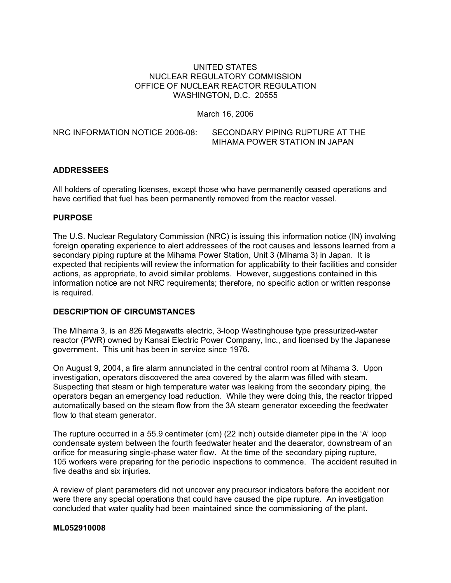# UNITED STATES NUCLEAR REGULATORY COMMISSION OFFICE OF NUCLEAR REACTOR REGULATION WASHINGTON, D.C. 20555

March 16, 2006

NRC INFORMATION NOTICE 2006-08: SECONDARY PIPING RUPTURE AT THE MIHAMA POWER STATION IN JAPAN

# **ADDRESSEES**

All holders of operating licenses, except those who have permanently ceased operations and have certified that fuel has been permanently removed from the reactor vessel.

#### **PURPOSE**

The U.S. Nuclear Regulatory Commission (NRC) is issuing this information notice (IN) involving foreign operating experience to alert addressees of the root causes and lessons learned from a secondary piping rupture at the Mihama Power Station, Unit 3 (Mihama 3) in Japan. It is expected that recipients will review the information for applicability to their facilities and consider actions, as appropriate, to avoid similar problems. However, suggestions contained in this information notice are not NRC requirements; therefore, no specific action or written response is required.

## **DESCRIPTION OF CIRCUMSTANCES**

The Mihama 3, is an 826 Megawatts electric, 3-loop Westinghouse type pressurized-water reactor (PWR) owned by Kansai Electric Power Company, Inc., and licensed by the Japanese government. This unit has been in service since 1976.

On August 9, 2004, a fire alarm annunciated in the central control room at Mihama 3. Upon investigation, operators discovered the area covered by the alarm was filled with steam. Suspecting that steam or high temperature water was leaking from the secondary piping, the operators began an emergency load reduction. While they were doing this, the reactor tripped automatically based on the steam flow from the 3A steam generator exceeding the feedwater flow to that steam generator.

The rupture occurred in a 55.9 centimeter (cm) (22 inch) outside diameter pipe in the 'A' loop condensate system between the fourth feedwater heater and the deaerator, downstream of an orifice for measuring single-phase water flow. At the time of the secondary piping rupture, 105 workers were preparing for the periodic inspections to commence. The accident resulted in five deaths and six injuries.

A review of plant parameters did not uncover any precursor indicators before the accident nor were there any special operations that could have caused the pipe rupture. An investigation concluded that water quality had been maintained since the commissioning of the plant.

#### **ML052910008**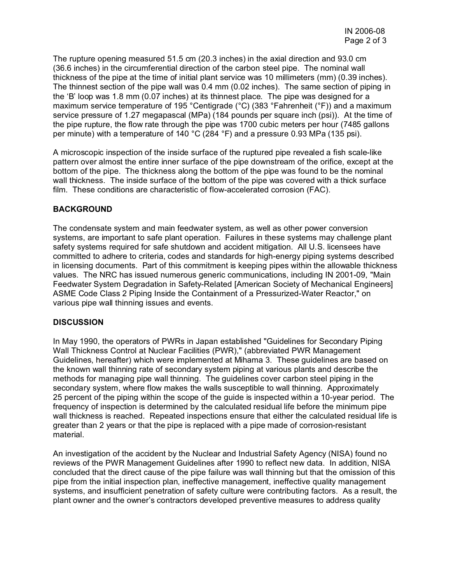The rupture opening measured 51.5 cm (20.3 inches) in the axial direction and 93.0 cm (36.6 inches) in the circumferential direction of the carbon steel pipe. The nominal wall thickness of the pipe at the time of initial plant service was 10 millimeters (mm) (0.39 inches). The thinnest section of the pipe wall was 0.4 mm (0.02 inches). The same section of piping in the 'B' loop was 1.8 mm (0.07 inches) at its thinnest place. The pipe was designed for a maximum service temperature of 195 °Centigrade (°C) (383 °Fahrenheit (°F)) and a maximum service pressure of 1.27 megapascal (MPa) (184 pounds per square inch (psi)). At the time of the pipe rupture, the flow rate through the pipe was 1700 cubic meters per hour (7485 gallons per minute) with a temperature of 140 °C (284 °F) and a pressure 0.93 MPa (135 psi).

A microscopic inspection of the inside surface of the ruptured pipe revealed a fish scale-like pattern over almost the entire inner surface of the pipe downstream of the orifice, except at the bottom of the pipe. The thickness along the bottom of the pipe was found to be the nominal wall thickness. The inside surface of the bottom of the pipe was covered with a thick surface film. These conditions are characteristic of flow-accelerated corrosion (FAC)*.*

# **BACKGROUND**

The condensate system and main feedwater system, as well as other power conversion systems, are important to safe plant operation. Failures in these systems may challenge plant safety systems required for safe shutdown and accident mitigation. All U.S. licensees have committed to adhere to criteria, codes and standards for high-energy piping systems described in licensing documents. Part of this commitment is keeping pipes within the allowable thickness values. The NRC has issued numerous generic communications, including IN 2001-09, "Main Feedwater System Degradation in Safety-Related [American Society of Mechanical Engineers] ASME Code Class 2 Piping Inside the Containment of a Pressurized-Water Reactor," on various pipe wall thinning issues and events.

#### **DISCUSSION**

In May 1990, the operators of PWRs in Japan established "Guidelines for Secondary Piping Wall Thickness Control at Nuclear Facilities (PWR)," (abbreviated PWR Management Guidelines, hereafter) which were implemented at Mihama 3. These guidelines are based on the known wall thinning rate of secondary system piping at various plants and describe the methods for managing pipe wall thinning. The guidelines cover carbon steel piping in the secondary system, where flow makes the walls susceptible to wall thinning. Approximately 25 percent of the piping within the scope of the guide is inspected within a 10-year period. The frequency of inspection is determined by the calculated residual life before the minimum pipe wall thickness is reached. Repeated inspections ensure that either the calculated residual life is greater than 2 years or that the pipe is replaced with a pipe made of corrosion-resistant material.

An investigation of the accident by the Nuclear and Industrial Safety Agency (NISA) found no reviews of the PWR Management Guidelines after 1990 to reflect new data. In addition, NISA concluded that the direct cause of the pipe failure was wall thinning but that the omission of this pipe from the initial inspection plan, ineffective management, ineffective quality management systems, and insufficient penetration of safety culture were contributing factors. As a result, the plant owner and the owner's contractors developed preventive measures to address quality